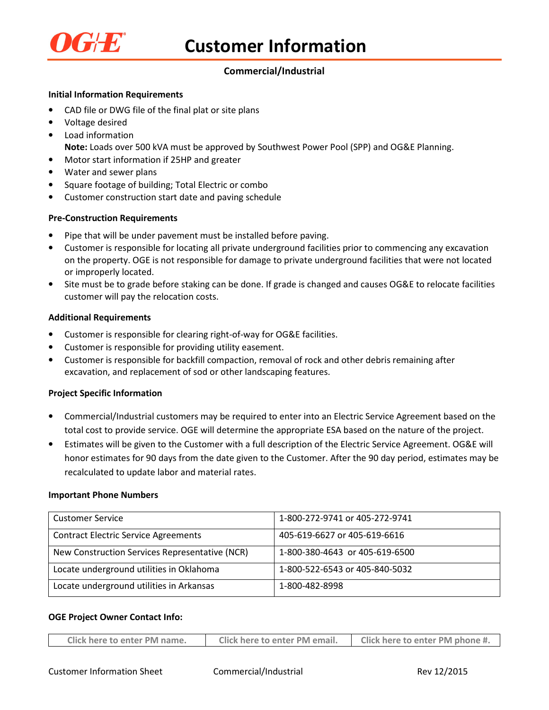

# **Commercial/Industrial**

## **Initial Information Requirements**

- CAD file or DWG file of the final plat or site plans
- Voltage desired
- Load information
	- **Note:** Loads over 500 kVA must be approved by Southwest Power Pool (SPP) and OG&E Planning.
- Motor start information if 25HP and greater
- Water and sewer plans
- Square footage of building; Total Electric or combo
- Customer construction start date and paving schedule

## **Pre-Construction Requirements**

- Pipe that will be under pavement must be installed before paving.
- Customer is responsible for locating all private underground facilities prior to commencing any excavation on the property. OGE is not responsible for damage to private underground facilities that were not located or improperly located.
- Site must be to grade before staking can be done. If grade is changed and causes OG&E to relocate facilities customer will pay the relocation costs.

## **Additional Requirements**

- Customer is responsible for clearing right-of-way for OG&E facilities.
- Customer is responsible for providing utility easement.
- Customer is responsible for backfill compaction, removal of rock and other debris remaining after excavation, and replacement of sod or other landscaping features.

#### **Project Specific Information**

- Commercial/Industrial customers may be required to enter into an Electric Service Agreement based on the total cost to provide service. OGE will determine the appropriate ESA based on the nature of the project.
- Estimates will be given to the Customer with a full description of the Electric Service Agreement. OG&E will honor estimates for 90 days from the date given to the Customer. After the 90 day period, estimates may be recalculated to update labor and material rates.

#### **Important Phone Numbers**

| <b>Customer Service</b>                        | 1-800-272-9741 or 405-272-9741 |  |
|------------------------------------------------|--------------------------------|--|
| <b>Contract Electric Service Agreements</b>    | 405-619-6627 or 405-619-6616   |  |
| New Construction Services Representative (NCR) | 1-800-380-4643 or 405-619-6500 |  |
| Locate underground utilities in Oklahoma       | 1-800-522-6543 or 405-840-5032 |  |
| Locate underground utilities in Arkansas       | 1-800-482-8998                 |  |

#### **OGE Project Owner Contact Info:**

| Click here to enter PM name. | Click here to enter PM email. | Click here to enter PM phone #. |
|------------------------------|-------------------------------|---------------------------------|
|                              |                               |                                 |